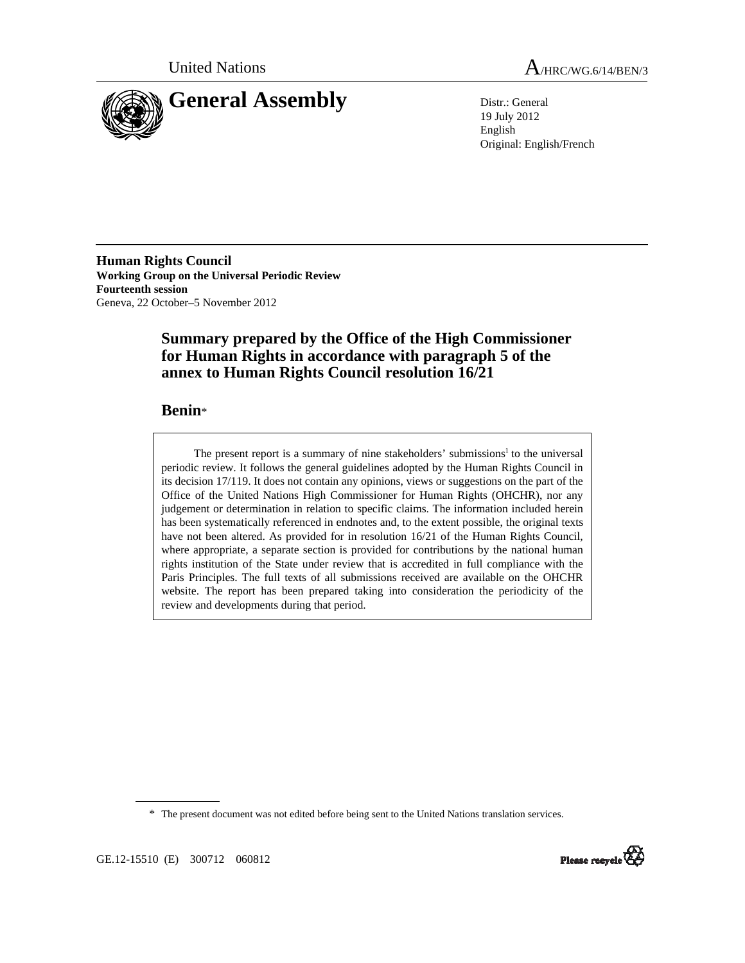



19 July 2012 English Original: English/French

**Human Rights Council Working Group on the Universal Periodic Review Fourteenth session**  Geneva, 22 October–5 November 2012

# **Summary prepared by the Office of the High Commissioner for Human Rights in accordance with paragraph 5 of the annex to Human Rights Council resolution 16/21**

## **Benin**\*

The present report is a summary of nine stakeholders' submissions<sup>1</sup> to the universal periodic review. It follows the general guidelines adopted by the Human Rights Council in its decision 17/119. It does not contain any opinions, views or suggestions on the part of the Office of the United Nations High Commissioner for Human Rights (OHCHR), nor any judgement or determination in relation to specific claims. The information included herein has been systematically referenced in endnotes and, to the extent possible, the original texts have not been altered. As provided for in resolution 16/21 of the Human Rights Council, where appropriate, a separate section is provided for contributions by the national human rights institution of the State under review that is accredited in full compliance with the Paris Principles. The full texts of all submissions received are available on the OHCHR website. The report has been prepared taking into consideration the periodicity of the review and developments during that period.

\* The present document was not edited before being sent to the United Nations translation services.



GE.12-15510 (E) 300712 060812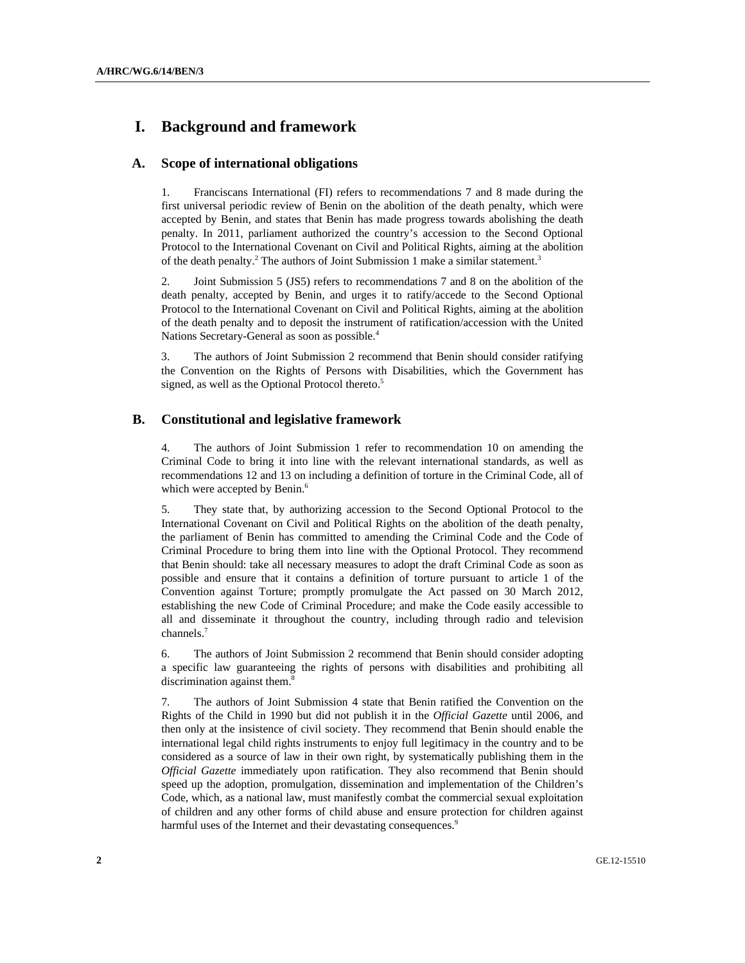# **I. Background and framework**

#### **A. Scope of international obligations**

1. Franciscans International (FI) refers to recommendations 7 and 8 made during the first universal periodic review of Benin on the abolition of the death penalty, which were accepted by Benin, and states that Benin has made progress towards abolishing the death penalty. In 2011, parliament authorized the country's accession to the Second Optional Protocol to the International Covenant on Civil and Political Rights, aiming at the abolition of the death penalty.<sup>2</sup> The authors of Joint Submission 1 make a similar statement.<sup>3</sup>

2. Joint Submission 5 (JS5) refers to recommendations 7 and 8 on the abolition of the death penalty, accepted by Benin, and urges it to ratify/accede to the Second Optional Protocol to the International Covenant on Civil and Political Rights, aiming at the abolition of the death penalty and to deposit the instrument of ratification/accession with the United Nations Secretary-General as soon as possible.<sup>4</sup>

3. The authors of Joint Submission 2 recommend that Benin should consider ratifying the Convention on the Rights of Persons with Disabilities, which the Government has signed, as well as the Optional Protocol thereto.<sup>5</sup>

#### **B. Constitutional and legislative framework**

4. The authors of Joint Submission 1 refer to recommendation 10 on amending the Criminal Code to bring it into line with the relevant international standards, as well as recommendations 12 and 13 on including a definition of torture in the Criminal Code, all of which were accepted by Benin.<sup>6</sup>

5. They state that, by authorizing accession to the Second Optional Protocol to the International Covenant on Civil and Political Rights on the abolition of the death penalty, the parliament of Benin has committed to amending the Criminal Code and the Code of Criminal Procedure to bring them into line with the Optional Protocol. They recommend that Benin should: take all necessary measures to adopt the draft Criminal Code as soon as possible and ensure that it contains a definition of torture pursuant to article 1 of the Convention against Torture; promptly promulgate the Act passed on 30 March 2012, establishing the new Code of Criminal Procedure; and make the Code easily accessible to all and disseminate it throughout the country, including through radio and television channels.7

6. The authors of Joint Submission 2 recommend that Benin should consider adopting a specific law guaranteeing the rights of persons with disabilities and prohibiting all discrimination against them.<sup>8</sup>

7. The authors of Joint Submission 4 state that Benin ratified the Convention on the Rights of the Child in 1990 but did not publish it in the *Official Gazette* until 2006, and then only at the insistence of civil society. They recommend that Benin should enable the international legal child rights instruments to enjoy full legitimacy in the country and to be considered as a source of law in their own right, by systematically publishing them in the *Official Gazette* immediately upon ratification. They also recommend that Benin should speed up the adoption, promulgation, dissemination and implementation of the Children's Code, which, as a national law, must manifestly combat the commercial sexual exploitation of children and any other forms of child abuse and ensure protection for children against harmful uses of the Internet and their devastating consequences.<sup>9</sup>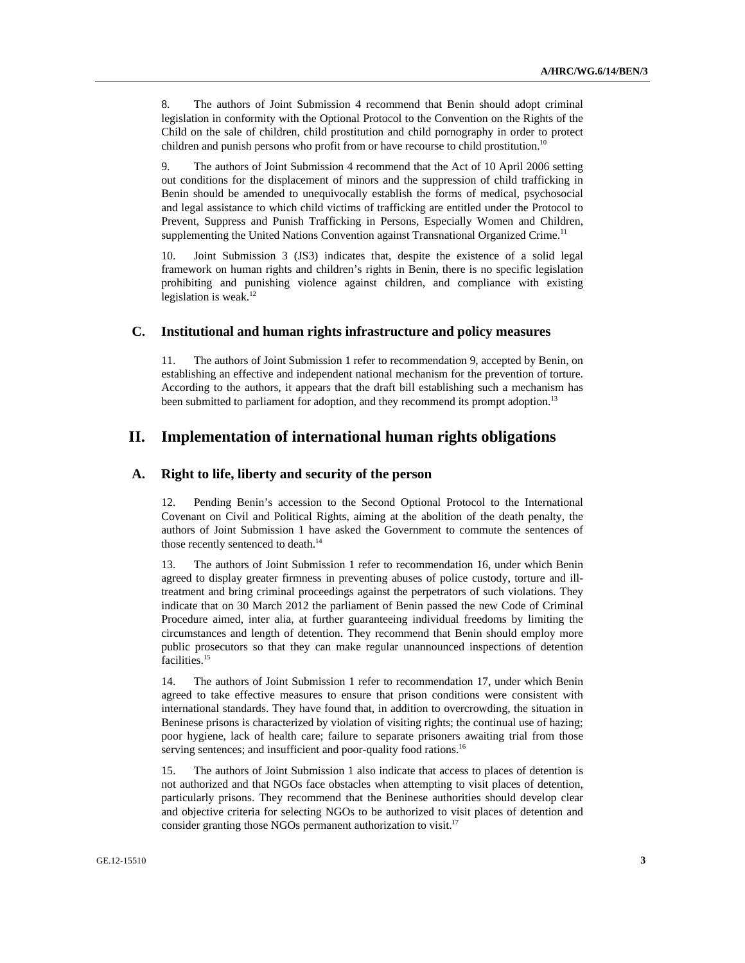8. The authors of Joint Submission 4 recommend that Benin should adopt criminal legislation in conformity with the Optional Protocol to the Convention on the Rights of the Child on the sale of children, child prostitution and child pornography in order to protect children and punish persons who profit from or have recourse to child prostitution.<sup>10</sup>

9. The authors of Joint Submission 4 recommend that the Act of 10 April 2006 setting out conditions for the displacement of minors and the suppression of child trafficking in Benin should be amended to unequivocally establish the forms of medical, psychosocial and legal assistance to which child victims of trafficking are entitled under the Protocol to Prevent, Suppress and Punish Trafficking in Persons, Especially Women and Children, supplementing the United Nations Convention against Transnational Organized Crime.<sup>11</sup>

10. Joint Submission 3 (JS3) indicates that, despite the existence of a solid legal framework on human rights and children's rights in Benin, there is no specific legislation prohibiting and punishing violence against children, and compliance with existing legislation is weak. $12$ 

#### **C. Institutional and human rights infrastructure and policy measures**

11. The authors of Joint Submission 1 refer to recommendation 9, accepted by Benin, on establishing an effective and independent national mechanism for the prevention of torture. According to the authors, it appears that the draft bill establishing such a mechanism has been submitted to parliament for adoption, and they recommend its prompt adoption.<sup>13</sup>

## **II. Implementation of international human rights obligations**

### **A. Right to life, liberty and security of the person**

12. Pending Benin's accession to the Second Optional Protocol to the International Covenant on Civil and Political Rights, aiming at the abolition of the death penalty, the authors of Joint Submission 1 have asked the Government to commute the sentences of those recently sentenced to death.<sup>14</sup>

13. The authors of Joint Submission 1 refer to recommendation 16, under which Benin agreed to display greater firmness in preventing abuses of police custody, torture and illtreatment and bring criminal proceedings against the perpetrators of such violations. They indicate that on 30 March 2012 the parliament of Benin passed the new Code of Criminal Procedure aimed, inter alia, at further guaranteeing individual freedoms by limiting the circumstances and length of detention. They recommend that Benin should employ more public prosecutors so that they can make regular unannounced inspections of detention facilities.<sup>15</sup>

14. The authors of Joint Submission 1 refer to recommendation 17, under which Benin agreed to take effective measures to ensure that prison conditions were consistent with international standards. They have found that, in addition to overcrowding, the situation in Beninese prisons is characterized by violation of visiting rights; the continual use of hazing; poor hygiene, lack of health care; failure to separate prisoners awaiting trial from those serving sentences; and insufficient and poor-quality food rations.<sup>16</sup>

15. The authors of Joint Submission 1 also indicate that access to places of detention is not authorized and that NGOs face obstacles when attempting to visit places of detention, particularly prisons. They recommend that the Beninese authorities should develop clear and objective criteria for selecting NGOs to be authorized to visit places of detention and consider granting those NGOs permanent authorization to visit. $17$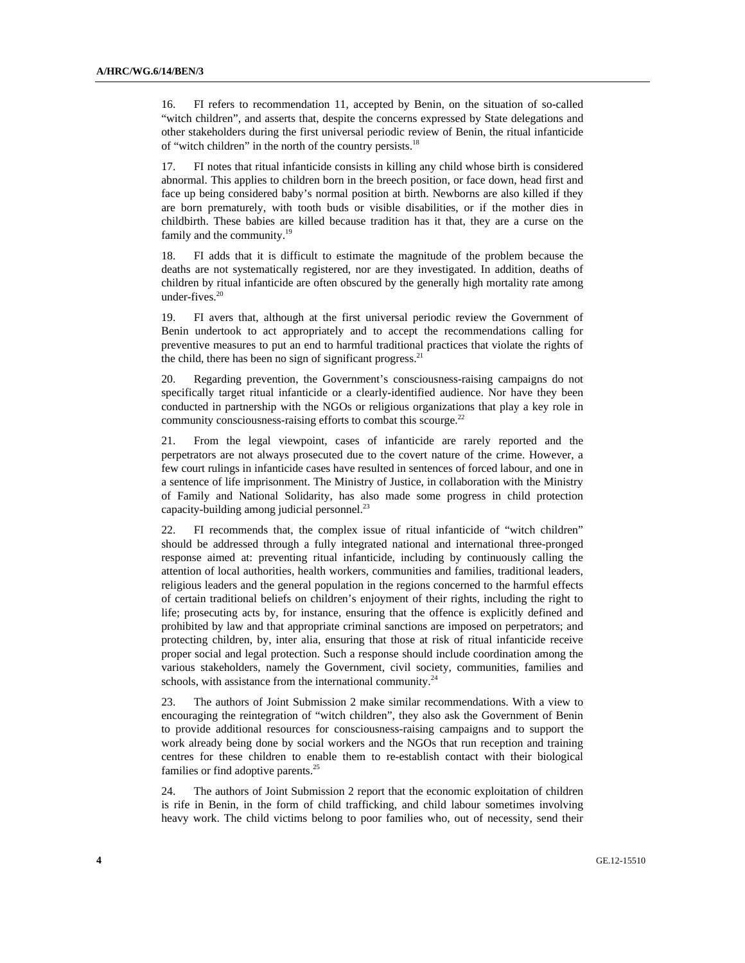16. FI refers to recommendation 11, accepted by Benin, on the situation of so-called "witch children", and asserts that, despite the concerns expressed by State delegations and other stakeholders during the first universal periodic review of Benin, the ritual infanticide of "witch children" in the north of the country persists.<sup>18</sup>

17. FI notes that ritual infanticide consists in killing any child whose birth is considered abnormal. This applies to children born in the breech position, or face down, head first and face up being considered baby's normal position at birth. Newborns are also killed if they are born prematurely, with tooth buds or visible disabilities, or if the mother dies in childbirth. These babies are killed because tradition has it that, they are a curse on the family and the community.<sup>19</sup>

18. FI adds that it is difficult to estimate the magnitude of the problem because the deaths are not systematically registered, nor are they investigated. In addition, deaths of children by ritual infanticide are often obscured by the generally high mortality rate among under-fives. $20$ 

19. FI avers that, although at the first universal periodic review the Government of Benin undertook to act appropriately and to accept the recommendations calling for preventive measures to put an end to harmful traditional practices that violate the rights of the child, there has been no sign of significant progress. $21$ 

20. Regarding prevention, the Government's consciousness-raising campaigns do not specifically target ritual infanticide or a clearly-identified audience. Nor have they been conducted in partnership with the NGOs or religious organizations that play a key role in community consciousness-raising efforts to combat this scourge. $^{22}$ 

21. From the legal viewpoint, cases of infanticide are rarely reported and the perpetrators are not always prosecuted due to the covert nature of the crime. However, a few court rulings in infanticide cases have resulted in sentences of forced labour, and one in a sentence of life imprisonment. The Ministry of Justice, in collaboration with the Ministry of Family and National Solidarity, has also made some progress in child protection capacity-building among judicial personnel. $^{23}$ 

22. FI recommends that, the complex issue of ritual infanticide of "witch children" should be addressed through a fully integrated national and international three-pronged response aimed at: preventing ritual infanticide, including by continuously calling the attention of local authorities, health workers, communities and families, traditional leaders, religious leaders and the general population in the regions concerned to the harmful effects of certain traditional beliefs on children's enjoyment of their rights, including the right to life; prosecuting acts by, for instance, ensuring that the offence is explicitly defined and prohibited by law and that appropriate criminal sanctions are imposed on perpetrators; and protecting children, by, inter alia, ensuring that those at risk of ritual infanticide receive proper social and legal protection. Such a response should include coordination among the various stakeholders, namely the Government, civil society, communities, families and schools, with assistance from the international community.<sup>24</sup>

23. The authors of Joint Submission 2 make similar recommendations. With a view to encouraging the reintegration of "witch children", they also ask the Government of Benin to provide additional resources for consciousness-raising campaigns and to support the work already being done by social workers and the NGOs that run reception and training centres for these children to enable them to re-establish contact with their biological families or find adoptive parents.<sup>25</sup>

24. The authors of Joint Submission 2 report that the economic exploitation of children is rife in Benin, in the form of child trafficking, and child labour sometimes involving heavy work. The child victims belong to poor families who, out of necessity, send their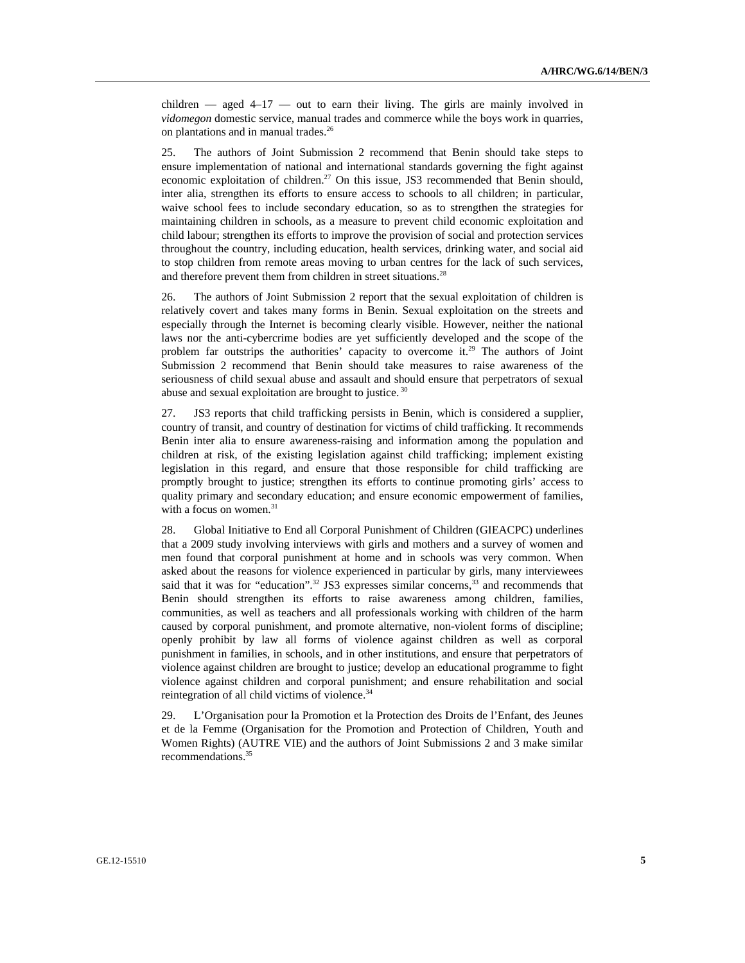children  $-$  aged  $4-17$   $-$  out to earn their living. The girls are mainly involved in *vidomegon* domestic service, manual trades and commerce while the boys work in quarries, on plantations and in manual trades.<sup>26</sup>

25. The authors of Joint Submission 2 recommend that Benin should take steps to ensure implementation of national and international standards governing the fight against economic exploitation of children.<sup>27</sup> On this issue, JS3 recommended that Benin should, inter alia, strengthen its efforts to ensure access to schools to all children; in particular, waive school fees to include secondary education, so as to strengthen the strategies for maintaining children in schools, as a measure to prevent child economic exploitation and child labour; strengthen its efforts to improve the provision of social and protection services throughout the country, including education, health services, drinking water, and social aid to stop children from remote areas moving to urban centres for the lack of such services, and therefore prevent them from children in street situations.<sup>28</sup>

26. The authors of Joint Submission 2 report that the sexual exploitation of children is relatively covert and takes many forms in Benin. Sexual exploitation on the streets and especially through the Internet is becoming clearly visible. However, neither the national laws nor the anti-cybercrime bodies are yet sufficiently developed and the scope of the problem far outstrips the authorities' capacity to overcome it.<sup>29</sup> The authors of Joint Submission 2 recommend that Benin should take measures to raise awareness of the seriousness of child sexual abuse and assault and should ensure that perpetrators of sexual abuse and sexual exploitation are brought to justice. 30

27. JS3 reports that child trafficking persists in Benin, which is considered a supplier, country of transit, and country of destination for victims of child trafficking. It recommends Benin inter alia to ensure awareness-raising and information among the population and children at risk, of the existing legislation against child trafficking; implement existing legislation in this regard, and ensure that those responsible for child trafficking are promptly brought to justice; strengthen its efforts to continue promoting girls' access to quality primary and secondary education; and ensure economic empowerment of families, with a focus on women.<sup>31</sup>

28. Global Initiative to End all Corporal Punishment of Children (GIEACPC) underlines that a 2009 study involving interviews with girls and mothers and a survey of women and men found that corporal punishment at home and in schools was very common. When asked about the reasons for violence experienced in particular by girls, many interviewees said that it was for "education".<sup>32</sup> JS3 expresses similar concerns,<sup>33</sup> and recommends that Benin should strengthen its efforts to raise awareness among children, families, communities, as well as teachers and all professionals working with children of the harm caused by corporal punishment, and promote alternative, non-violent forms of discipline; openly prohibit by law all forms of violence against children as well as corporal punishment in families, in schools, and in other institutions, and ensure that perpetrators of violence against children are brought to justice; develop an educational programme to fight violence against children and corporal punishment; and ensure rehabilitation and social reintegration of all child victims of violence.<sup>34</sup>

29. L'Organisation pour la Promotion et la Protection des Droits de l'Enfant, des Jeunes et de la Femme (Organisation for the Promotion and Protection of Children, Youth and Women Rights) (AUTRE VIE) and the authors of Joint Submissions 2 and 3 make similar recommendations.<sup>35</sup>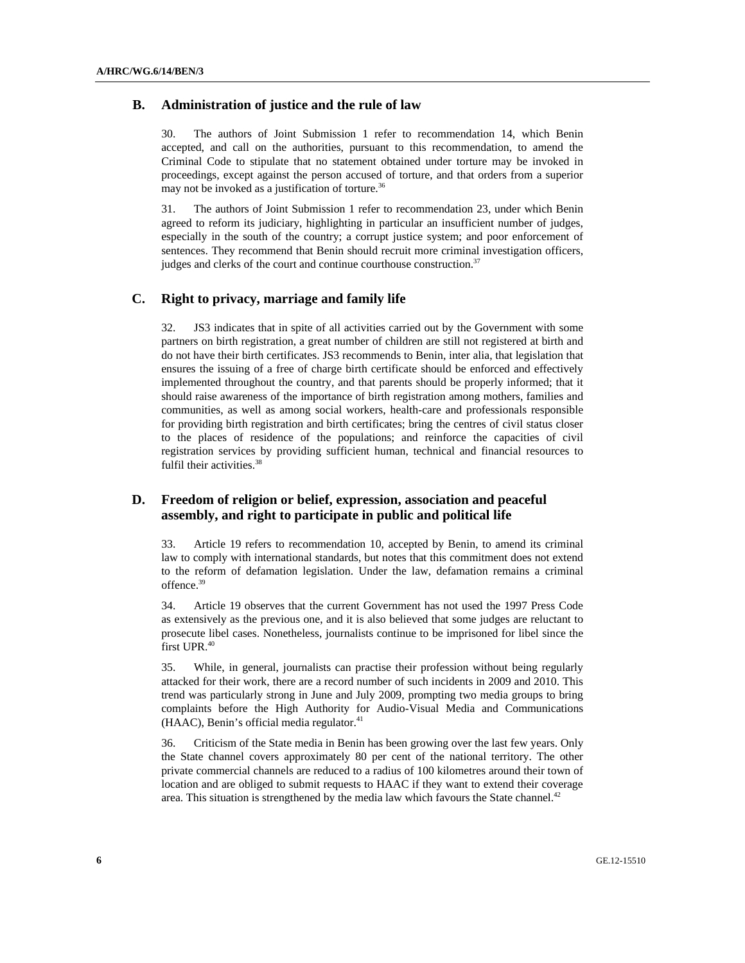#### **B. Administration of justice and the rule of law**

30. The authors of Joint Submission 1 refer to recommendation 14, which Benin accepted, and call on the authorities, pursuant to this recommendation, to amend the Criminal Code to stipulate that no statement obtained under torture may be invoked in proceedings, except against the person accused of torture, and that orders from a superior may not be invoked as a justification of torture.<sup>36</sup>

31. The authors of Joint Submission 1 refer to recommendation 23, under which Benin agreed to reform its judiciary, highlighting in particular an insufficient number of judges, especially in the south of the country; a corrupt justice system; and poor enforcement of sentences. They recommend that Benin should recruit more criminal investigation officers, judges and clerks of the court and continue courthouse construction.<sup>37</sup>

#### **C. Right to privacy, marriage and family life**

32. JS3 indicates that in spite of all activities carried out by the Government with some partners on birth registration, a great number of children are still not registered at birth and do not have their birth certificates. JS3 recommends to Benin, inter alia, that legislation that ensures the issuing of a free of charge birth certificate should be enforced and effectively implemented throughout the country, and that parents should be properly informed; that it should raise awareness of the importance of birth registration among mothers, families and communities, as well as among social workers, health-care and professionals responsible for providing birth registration and birth certificates; bring the centres of civil status closer to the places of residence of the populations; and reinforce the capacities of civil registration services by providing sufficient human, technical and financial resources to fulfil their activities.<sup>38</sup>

## **D. Freedom of religion or belief, expression, association and peaceful assembly, and right to participate in public and political life**

33. Article 19 refers to recommendation 10, accepted by Benin, to amend its criminal law to comply with international standards, but notes that this commitment does not extend to the reform of defamation legislation. Under the law, defamation remains a criminal offence.<sup>39</sup>

34. Article 19 observes that the current Government has not used the 1997 Press Code as extensively as the previous one, and it is also believed that some judges are reluctant to prosecute libel cases. Nonetheless, journalists continue to be imprisoned for libel since the first UPR.<sup>40</sup>

35. While, in general, journalists can practise their profession without being regularly attacked for their work, there are a record number of such incidents in 2009 and 2010. This trend was particularly strong in June and July 2009, prompting two media groups to bring complaints before the High Authority for Audio-Visual Media and Communications (HAAC), Benin's official media regulator.<sup>41</sup>

36. Criticism of the State media in Benin has been growing over the last few years. Only the State channel covers approximately 80 per cent of the national territory. The other private commercial channels are reduced to a radius of 100 kilometres around their town of location and are obliged to submit requests to HAAC if they want to extend their coverage area. This situation is strengthened by the media law which favours the State channel. $42$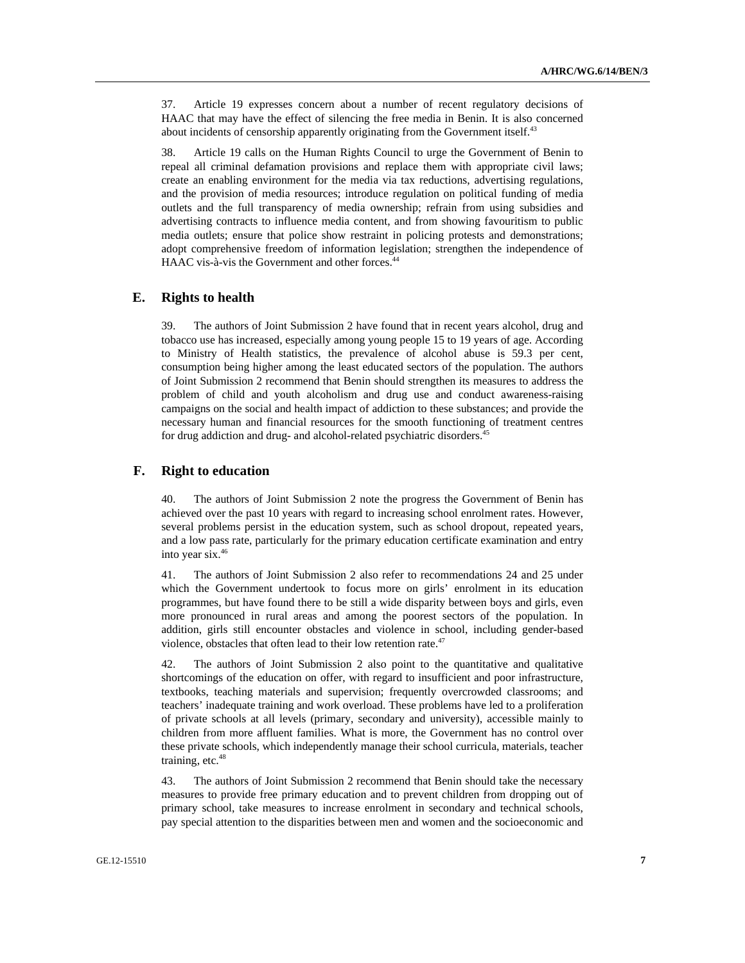37. Article 19 expresses concern about a number of recent regulatory decisions of HAAC that may have the effect of silencing the free media in Benin. It is also concerned about incidents of censorship apparently originating from the Government itself.<sup>43</sup>

38. Article 19 calls on the Human Rights Council to urge the Government of Benin to repeal all criminal defamation provisions and replace them with appropriate civil laws; create an enabling environment for the media via tax reductions, advertising regulations, and the provision of media resources; introduce regulation on political funding of media outlets and the full transparency of media ownership; refrain from using subsidies and advertising contracts to influence media content, and from showing favouritism to public media outlets; ensure that police show restraint in policing protests and demonstrations; adopt comprehensive freedom of information legislation; strengthen the independence of HAAC vis-à-vis the Government and other forces.<sup>44</sup>

#### **E. Rights to health**

39. The authors of Joint Submission 2 have found that in recent years alcohol, drug and tobacco use has increased, especially among young people 15 to 19 years of age. According to Ministry of Health statistics, the prevalence of alcohol abuse is 59.3 per cent, consumption being higher among the least educated sectors of the population. The authors of Joint Submission 2 recommend that Benin should strengthen its measures to address the problem of child and youth alcoholism and drug use and conduct awareness-raising campaigns on the social and health impact of addiction to these substances; and provide the necessary human and financial resources for the smooth functioning of treatment centres for drug addiction and drug- and alcohol-related psychiatric disorders.<sup>45</sup>

### **F. Right to education**

40. The authors of Joint Submission 2 note the progress the Government of Benin has achieved over the past 10 years with regard to increasing school enrolment rates. However, several problems persist in the education system, such as school dropout, repeated years, and a low pass rate, particularly for the primary education certificate examination and entry into year six.46

41. The authors of Joint Submission 2 also refer to recommendations 24 and 25 under which the Government undertook to focus more on girls' enrolment in its education programmes, but have found there to be still a wide disparity between boys and girls, even more pronounced in rural areas and among the poorest sectors of the population. In addition, girls still encounter obstacles and violence in school, including gender-based violence, obstacles that often lead to their low retention rate. $47$ 

42. The authors of Joint Submission 2 also point to the quantitative and qualitative shortcomings of the education on offer, with regard to insufficient and poor infrastructure, textbooks, teaching materials and supervision; frequently overcrowded classrooms; and teachers' inadequate training and work overload. These problems have led to a proliferation of private schools at all levels (primary, secondary and university), accessible mainly to children from more affluent families. What is more, the Government has no control over these private schools, which independently manage their school curricula, materials, teacher training, etc. $48$ 

43. The authors of Joint Submission 2 recommend that Benin should take the necessary measures to provide free primary education and to prevent children from dropping out of primary school, take measures to increase enrolment in secondary and technical schools, pay special attention to the disparities between men and women and the socioeconomic and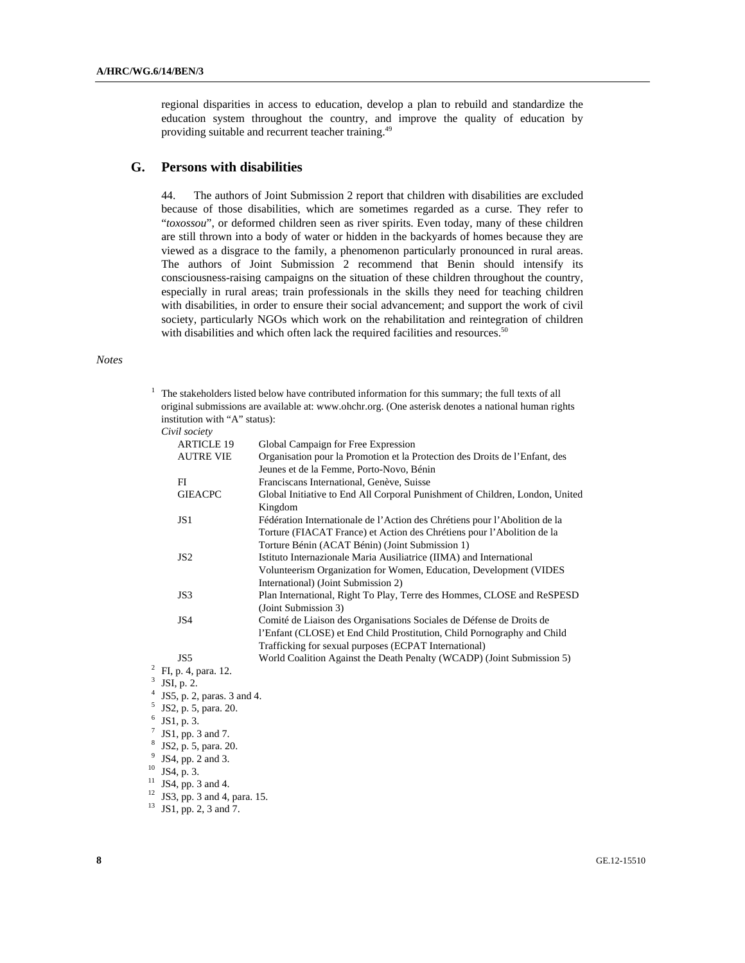regional disparities in access to education, develop a plan to rebuild and standardize the education system throughout the country, and improve the quality of education by providing suitable and recurrent teacher training.49

## **G. Persons with disabilities**

44. The authors of Joint Submission 2 report that children with disabilities are excluded because of those disabilities, which are sometimes regarded as a curse. They refer to "*toxossou*", or deformed children seen as river spirits. Even today, many of these children are still thrown into a body of water or hidden in the backyards of homes because they are viewed as a disgrace to the family, a phenomenon particularly pronounced in rural areas. The authors of Joint Submission 2 recommend that Benin should intensify its consciousness-raising campaigns on the situation of these children throughout the country, especially in rural areas; train professionals in the skills they need for teaching children with disabilities, in order to ensure their social advancement; and support the work of civil society, particularly NGOs which work on the rehabilitation and reintegration of children with disabilities and which often lack the required facilities and resources.<sup>50</sup>

#### *Notes*

| institution with "A" status):  | The stakeholders listed below have contributed information for this summary; the full texts of all<br>original submissions are available at: www.ohchr.org. (One asterisk denotes a national human rights |
|--------------------------------|-----------------------------------------------------------------------------------------------------------------------------------------------------------------------------------------------------------|
| Civil society                  |                                                                                                                                                                                                           |
| <b>ARTICLE 19</b>              | Global Campaign for Free Expression                                                                                                                                                                       |
| <b>AUTRE VIE</b>               | Organisation pour la Promotion et la Protection des Droits de l'Enfant, des                                                                                                                               |
|                                | Jeunes et de la Femme, Porto-Novo, Bénin                                                                                                                                                                  |
| F1                             | Franciscans International, Genève, Suisse                                                                                                                                                                 |
| <b>GIEACPC</b>                 | Global Initiative to End All Corporal Punishment of Children, London, United                                                                                                                              |
|                                | Kingdom                                                                                                                                                                                                   |
| JS1                            | Fédération Internationale de l'Action des Chrétiens pour l'Abolition de la                                                                                                                                |
|                                | Torture (FIACAT France) et Action des Chrétiens pour l'Abolition de la                                                                                                                                    |
|                                | Torture Bénin (ACAT Bénin) (Joint Submission 1)                                                                                                                                                           |
| JS <sub>2</sub>                | Istituto Internazionale Maria Ausiliatrice (IIMA) and International                                                                                                                                       |
|                                | Volunteerism Organization for Women, Education, Development (VIDES                                                                                                                                        |
|                                | International) (Joint Submission 2)                                                                                                                                                                       |
| JS3                            | Plan International, Right To Play, Terre des Hommes, CLOSE and ReSPESD                                                                                                                                    |
|                                | (Joint Submission 3)                                                                                                                                                                                      |
| JS4                            | Comité de Liaison des Organisations Sociales de Défense de Droits de                                                                                                                                      |
|                                | l'Enfant (CLOSE) et End Child Prostitution, Child Pornography and Child                                                                                                                                   |
|                                | Trafficking for sexual purposes (ECPAT International)                                                                                                                                                     |
| JS5                            | World Coalition Against the Death Penalty (WCADP) (Joint Submission 5)                                                                                                                                    |
| FI, p. 4, para. 12.            |                                                                                                                                                                                                           |
| $3$ JSI, p. 2.                 |                                                                                                                                                                                                           |
| $4$ JS5, p. 2, paras. 3 and 4. |                                                                                                                                                                                                           |
| $5$ JS2, p. 5, para. 20.       |                                                                                                                                                                                                           |
| $6$ JS1, p. 3.                 |                                                                                                                                                                                                           |
| $7$ JS1, pp. 3 and 7.          |                                                                                                                                                                                                           |
| $8$ JS2, p. 5, para. 20.       |                                                                                                                                                                                                           |
| $9$ ICA np 2 and 3             |                                                                                                                                                                                                           |

JS4, pp. 2  $10$  JS4, p. 3.

<sup>13</sup> JS1, pp. 2, 3 and 7.

 $11 \text{ JS4, pp. 3 and 4.}$  $12 \text{ JS3, pp. } 3 \text{ and } 4 \text{, para. } 15.$